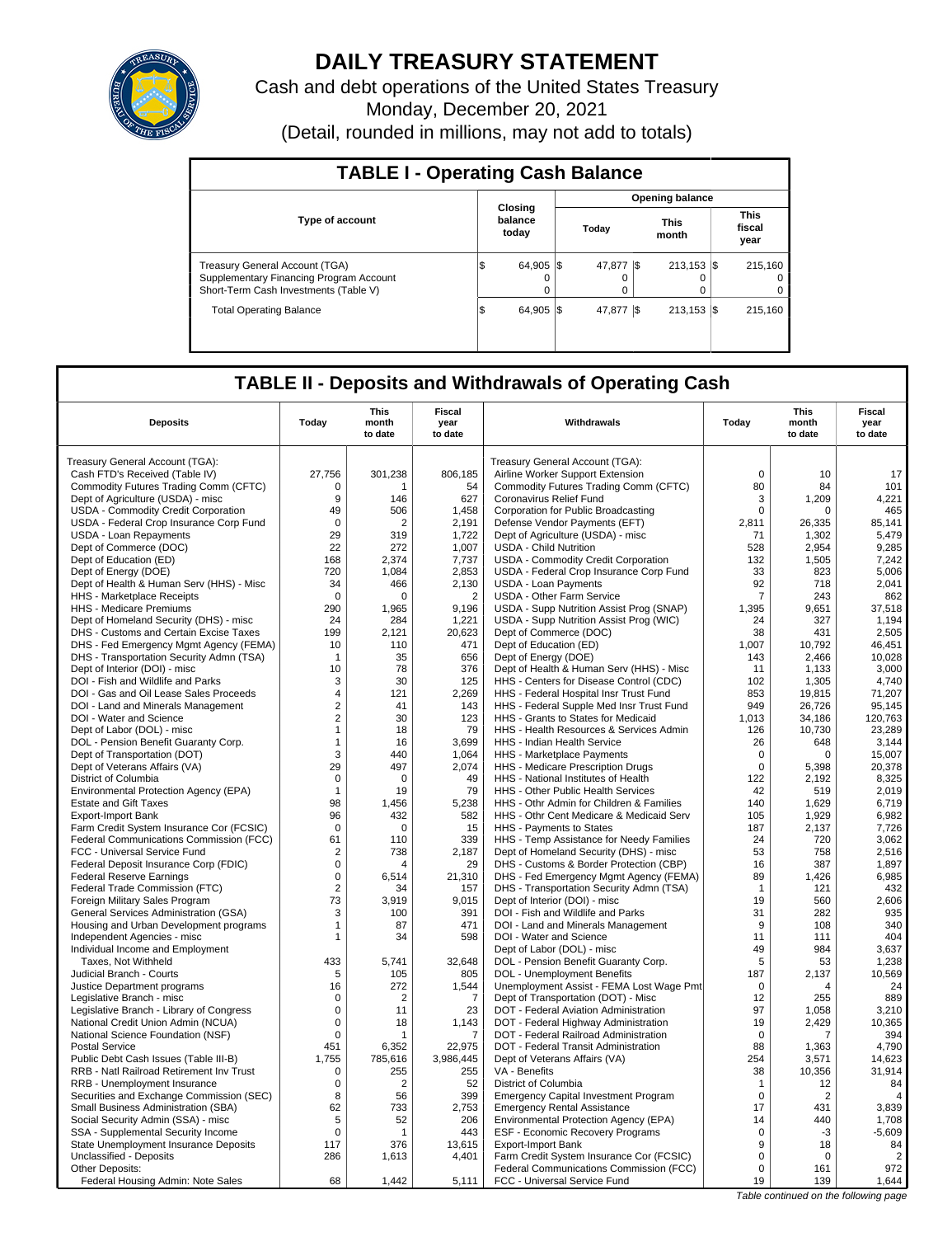

# **DAILY TREASURY STATEMENT**

Cash and debt operations of the United States Treasury Monday, December 20, 2021 (Detail, rounded in millions, may not add to totals)

| <b>TABLE I - Operating Cash Balance</b>                                                                                   |                             |                        |                      |  |                                |  |                               |  |  |  |
|---------------------------------------------------------------------------------------------------------------------------|-----------------------------|------------------------|----------------------|--|--------------------------------|--|-------------------------------|--|--|--|
|                                                                                                                           |                             | <b>Opening balance</b> |                      |  |                                |  |                               |  |  |  |
| <b>Type of account</b>                                                                                                    | Closing<br>balance<br>today |                        | Today                |  | <b>This</b><br>month           |  | <b>This</b><br>fiscal<br>year |  |  |  |
| <b>Treasury General Account (TGA)</b><br>Supplementary Financing Program Account<br>Short-Term Cash Investments (Table V) | 64.905 \\$<br>S<br>0        |                        | 47.877 S<br>$\Omega$ |  | $213.153$ $\sqrt{5}$<br>O<br>0 |  | 215.160<br>$\Omega$<br>0      |  |  |  |
| <b>Total Operating Balance</b>                                                                                            | 64.905 \\$<br>1\$           |                        | 47.877 \\$           |  | $213,153$ \$                   |  | 215.160                       |  |  |  |

## **TABLE II - Deposits and Withdrawals of Operating Cash**

| <b>Deposits</b>                                                             | Today            | <b>This</b><br>month<br>to date | <b>Fiscal</b><br>year<br>to date | Withdrawals                                                                         | Today                       | This<br>month<br>to date | Fiscal<br>year<br>to date             |
|-----------------------------------------------------------------------------|------------------|---------------------------------|----------------------------------|-------------------------------------------------------------------------------------|-----------------------------|--------------------------|---------------------------------------|
| Treasury General Account (TGA):                                             |                  |                                 |                                  | Treasury General Account (TGA):                                                     |                             |                          |                                       |
| Cash FTD's Received (Table IV)                                              | 27,756           | 301,238                         | 806,185                          | Airline Worker Support Extension                                                    | $\mathbf 0$                 | 10                       | 17                                    |
| Commodity Futures Trading Comm (CFTC)                                       | 0                | 1                               | 54                               | Commodity Futures Trading Comm (CFTC)                                               | 80                          | 84                       | 101                                   |
| Dept of Agriculture (USDA) - misc                                           | 9                | 146                             | 627                              | Coronavirus Relief Fund                                                             | 3                           | 1,209                    | 4,221                                 |
| USDA - Commodity Credit Corporation                                         | 49               | 506                             | 1,458                            | Corporation for Public Broadcasting                                                 | 0                           | 0                        | 465                                   |
| USDA - Federal Crop Insurance Corp Fund                                     | $\Omega$         | $\overline{2}$                  | 2,191                            | Defense Vendor Payments (EFT)                                                       | 2,811                       | 26,335                   | 85,141                                |
| <b>USDA - Loan Repayments</b>                                               | 29               | 319                             | 1,722                            | Dept of Agriculture (USDA) - misc                                                   | 71                          | 1,302                    | 5,479                                 |
| Dept of Commerce (DOC)                                                      | 22               | 272                             | 1,007                            | <b>USDA - Child Nutrition</b>                                                       | 528                         | 2,954                    | 9,285                                 |
| Dept of Education (ED)                                                      | 168              | 2,374                           | 7,737                            | <b>USDA - Commodity Credit Corporation</b>                                          | 132                         | 1,505                    | 7,242                                 |
| Dept of Energy (DOE)                                                        | 720              | 1.084                           | 2.853                            | USDA - Federal Crop Insurance Corp Fund                                             | 33                          | 823                      | 5.006                                 |
| Dept of Health & Human Serv (HHS) - Misc                                    | 34               | 466                             | 2,130                            | <b>USDA - Loan Payments</b>                                                         | 92                          | 718                      | 2,041                                 |
| HHS - Marketplace Receipts                                                  | $\mathbf 0$      | $\Omega$                        | $\overline{2}$                   | USDA - Other Farm Service                                                           | 7                           | 243                      | 862                                   |
| <b>HHS - Medicare Premiums</b>                                              | 290              | 1,965                           | 9,196                            | USDA - Supp Nutrition Assist Prog (SNAP)                                            | 1,395                       | 9,651                    | 37,518                                |
| Dept of Homeland Security (DHS) - misc                                      | 24               | 284                             | 1,221                            | USDA - Supp Nutrition Assist Prog (WIC)                                             | 24                          | 327                      | 1,194                                 |
| DHS - Customs and Certain Excise Taxes                                      | 199              | 2,121                           | 20,623                           | Dept of Commerce (DOC)                                                              | 38                          | 431                      | 2,505                                 |
| DHS - Fed Emergency Mgmt Agency (FEMA)                                      | 10               | 110                             | 471                              | Dept of Education (ED)                                                              | 1,007                       | 10,792                   | 46,451                                |
| DHS - Transportation Security Admn (TSA)                                    | $\overline{1}$   | 35                              | 656                              | Dept of Energy (DOE)                                                                | 143                         | 2,466                    | 10,028                                |
| Dept of Interior (DOI) - misc                                               | 10               | 78                              | 376                              | Dept of Health & Human Serv (HHS) - Misc                                            | 11                          | 1,133                    | 3,000                                 |
| DOI - Fish and Wildlife and Parks                                           | 3                | 30                              | 125                              | HHS - Centers for Disease Control (CDC)                                             | 102                         | 1,305                    | 4,740                                 |
| DOI - Gas and Oil Lease Sales Proceeds                                      | $\overline{4}$   | 121                             | 2,269                            | HHS - Federal Hospital Insr Trust Fund                                              | 853                         | 19,815                   | 71,207                                |
| DOI - Land and Minerals Management                                          | $\overline{2}$   | 41                              | 143                              | HHS - Federal Supple Med Insr Trust Fund                                            | 949                         | 26.726                   | 95.145                                |
| DOI - Water and Science                                                     | $\overline{2}$   | 30                              | 123                              | HHS - Grants to States for Medicaid                                                 | 1,013                       | 34,186                   | 120,763                               |
| Dept of Labor (DOL) - misc                                                  | $\mathbf{1}$     | 18                              | 79                               | HHS - Health Resources & Services Admin                                             | 126                         | 10,730                   | 23,289                                |
| DOL - Pension Benefit Guaranty Corp.                                        | $\mathbf{1}$     | 16                              | 3,699                            | HHS - Indian Health Service                                                         | 26                          | 648                      | 3,144                                 |
| Dept of Transportation (DOT)                                                | 3                | 440                             | 1.064                            | HHS - Marketplace Payments                                                          | $\mathbf 0$                 | $\Omega$                 | 15.007                                |
| Dept of Veterans Affairs (VA)                                               | 29               | 497                             | 2,074                            | HHS - Medicare Prescription Drugs                                                   | $\mathbf 0$                 | 5,398                    | 20,378                                |
| District of Columbia                                                        | $\mathbf 0$      | 0                               | 49                               | HHS - National Institutes of Health                                                 | 122                         | 2,192                    | 8,325                                 |
| Environmental Protection Agency (EPA)                                       | $\mathbf{1}$     | 19                              | 79                               | HHS - Other Public Health Services                                                  | 42                          | 519                      | 2,019                                 |
| <b>Estate and Gift Taxes</b>                                                | 98               | 1.456                           | 5,238                            | HHS - Othr Admin for Children & Families                                            | 140                         | 1.629                    | 6.719                                 |
| <b>Export-Import Bank</b>                                                   | 96               | 432                             | 582                              | HHS - Othr Cent Medicare & Medicaid Serv                                            | 105                         | 1,929                    | 6,982                                 |
| Farm Credit System Insurance Cor (FCSIC)                                    | 0                | 0                               | 15                               | HHS - Payments to States                                                            | 187                         | 2,137                    | 7,726                                 |
| Federal Communications Commission (FCC)                                     | 61               | 110                             | 339                              | HHS - Temp Assistance for Needy Families                                            | 24                          | 720                      | 3,062                                 |
| FCC - Universal Service Fund                                                | $\overline{2}$   | 738                             | 2,187                            | Dept of Homeland Security (DHS) - misc                                              | 53                          | 758                      | 2,516                                 |
| Federal Deposit Insurance Corp (FDIC)                                       | $\mathbf 0$      | 4                               | 29                               | DHS - Customs & Border Protection (CBP)                                             | 16                          | 387                      | 1,897                                 |
| <b>Federal Reserve Earnings</b>                                             | $\Omega$         | 6,514                           | 21,310                           | DHS - Fed Emergency Mgmt Agency (FEMA)                                              | 89                          | 1,426                    | 6,985                                 |
| Federal Trade Commission (FTC)                                              | $\overline{2}$   | 34                              | 157                              | DHS - Transportation Security Admn (TSA)                                            | $\mathbf 1$                 | 121                      | 432                                   |
| Foreign Military Sales Program                                              | 73               | 3,919                           | 9,015                            | Dept of Interior (DOI) - misc                                                       | 19                          | 560                      | 2,606                                 |
| General Services Administration (GSA)                                       | 3                | 100                             | 391                              | DOI - Fish and Wildlife and Parks                                                   | 31                          | 282                      | 935                                   |
| Housing and Urban Development programs                                      | $\mathbf{1}$     | 87                              | 471                              | DOI - Land and Minerals Management                                                  | 9                           | 108                      | 340                                   |
| Independent Agencies - misc                                                 | $\mathbf{1}$     | 34                              | 598                              | DOI - Water and Science                                                             | 11                          | 111                      | 404                                   |
| Individual Income and Employment                                            |                  |                                 |                                  | Dept of Labor (DOL) - misc                                                          | 49                          | 984                      | 3,637                                 |
| Taxes, Not Withheld                                                         | 433              | 5,741                           | 32,648                           | DOL - Pension Benefit Guaranty Corp.                                                | 5                           | 53                       | 1,238                                 |
| Judicial Branch - Courts                                                    | 5                | 105                             | 805                              | DOL - Unemployment Benefits                                                         | 187                         | 2,137                    | 10,569                                |
| Justice Department programs                                                 | 16               | 272                             | 1,544                            | Unemployment Assist - FEMA Lost Wage Pmt                                            | $\mathbf 0$                 | $\overline{4}$           | 24                                    |
| Legislative Branch - misc                                                   | $\mathbf 0$      | $\overline{2}$                  | 7                                | Dept of Transportation (DOT) - Misc                                                 | 12                          | 255                      | 889                                   |
| Legislative Branch - Library of Congress                                    | $\mathbf 0$      | 11                              | 23                               | DOT - Federal Aviation Administration                                               | 97                          | 1,058                    | 3,210                                 |
| National Credit Union Admin (NCUA)                                          | $\mathbf 0$      | 18                              | 1,143                            | DOT - Federal Highway Administration                                                | 19                          | 2,429                    | 10,365                                |
| National Science Foundation (NSF)                                           | $\mathbf 0$      | 1                               | $\overline{7}$                   | DOT - Federal Railroad Administration                                               | $\mathbf 0$                 | $\overline{7}$           | 394                                   |
| <b>Postal Service</b>                                                       | 451<br>1.755     | 6,352                           | 22,975                           | DOT - Federal Transit Administration                                                | 88                          | 1,363                    | 4,790                                 |
| Public Debt Cash Issues (Table III-B)                                       | $\mathbf 0$      | 785.616<br>255                  | 3.986.445                        | Dept of Veterans Affairs (VA)<br>VA - Benefits                                      | 254<br>38                   | 3.571<br>10,356          | 14,623<br>31,914                      |
| RRB - Natl Railroad Retirement Inv Trust                                    |                  |                                 | 255                              |                                                                                     |                             |                          |                                       |
| RRB - Unemployment Insurance                                                | $\mathbf 0$      | $\overline{2}$                  | 52                               | District of Columbia                                                                | $\mathbf{1}$<br>$\mathbf 0$ | 12                       | 84<br>$\Delta$                        |
| Securities and Exchange Commission (SEC)                                    | 8<br>62          | 56                              | 399<br>2.753                     | <b>Emergency Capital Investment Program</b>                                         | 17                          | $\overline{2}$<br>431    | 3.839                                 |
| Small Business Administration (SBA)                                         |                  | 733                             | 206                              | <b>Emergency Rental Assistance</b>                                                  |                             |                          | 1,708                                 |
| Social Security Admin (SSA) - misc                                          | 5<br>$\mathbf 0$ | 52<br>$\mathbf{1}$              | 443                              | Environmental Protection Agency (EPA)                                               | 14<br>$\mathbf 0$           | 440<br>$-3$              | $-5,609$                              |
| SSA - Supplemental Security Income<br>State Unemployment Insurance Deposits | 117              | 376                             | 13,615                           | ESF - Economic Recovery Programs<br><b>Export-Import Bank</b>                       | 9                           | 18                       | 84                                    |
| Unclassified - Deposits                                                     | 286              | 1,613                           | 4,401                            |                                                                                     | $\Omega$                    | $\Omega$                 | $\overline{2}$                        |
| Other Deposits:                                                             |                  |                                 |                                  | Farm Credit System Insurance Cor (FCSIC)<br>Federal Communications Commission (FCC) | $\mathbf 0$                 | 161                      | 972                                   |
| Federal Housing Admin: Note Sales                                           | 68               | 1,442                           | 5,111                            | FCC - Universal Service Fund                                                        | 19                          | 139                      | 1,644                                 |
|                                                                             |                  |                                 |                                  |                                                                                     |                             |                          | Table continued on the following page |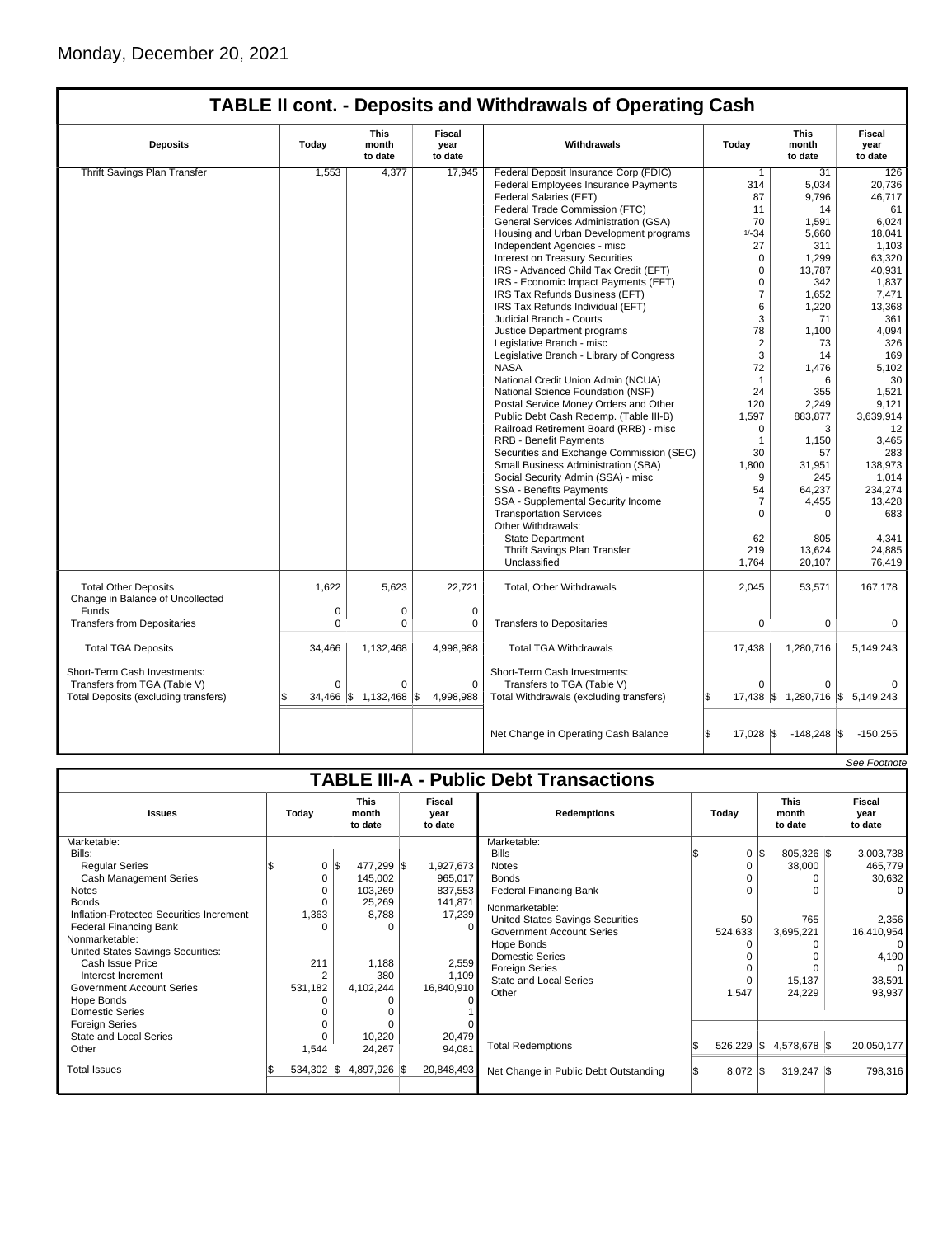| <b>TABLE II cont. - Deposits and Withdrawals of Operating Cash</b> |          |                          |                           |                                             |                 |                                  |                           |  |  |  |
|--------------------------------------------------------------------|----------|--------------------------|---------------------------|---------------------------------------------|-----------------|----------------------------------|---------------------------|--|--|--|
| <b>Deposits</b>                                                    | Today    | This<br>month<br>to date | Fiscal<br>year<br>to date | Withdrawals                                 | Today           | This<br>month<br>to date         | Fiscal<br>year<br>to date |  |  |  |
| <b>Thrift Savings Plan Transfer</b>                                | 1,553    | 4,377                    | 17,945                    | Federal Deposit Insurance Corp (FDIC)       | $\mathbf{1}$    | 31                               | 126                       |  |  |  |
|                                                                    |          |                          |                           | <b>Federal Employees Insurance Payments</b> | 314             | 5,034                            | 20,736                    |  |  |  |
|                                                                    |          |                          |                           | Federal Salaries (EFT)                      | 87              | 9,796                            | 46,717                    |  |  |  |
|                                                                    |          |                          |                           | Federal Trade Commission (FTC)              | 11              | 14                               | 61                        |  |  |  |
|                                                                    |          |                          |                           | General Services Administration (GSA)       | 70              | 1,591                            | 6,024                     |  |  |  |
|                                                                    |          |                          |                           | Housing and Urban Development programs      | $1/ - 34$       | 5,660                            | 18,041                    |  |  |  |
|                                                                    |          |                          |                           | Independent Agencies - misc                 | 27              | 311                              | 1,103                     |  |  |  |
|                                                                    |          |                          |                           | Interest on Treasury Securities             | $\mathbf 0$     | 1,299                            | 63,320                    |  |  |  |
|                                                                    |          |                          |                           | IRS - Advanced Child Tax Credit (EFT)       | $\Omega$        | 13.787                           | 40.931                    |  |  |  |
|                                                                    |          |                          |                           | IRS - Economic Impact Payments (EFT)        | $\Omega$        | 342                              | 1,837                     |  |  |  |
|                                                                    |          |                          |                           | IRS Tax Refunds Business (EFT)              | 7               | 1,652                            | 7,471                     |  |  |  |
|                                                                    |          |                          |                           | IRS Tax Refunds Individual (EFT)            | 6               | 1,220                            | 13,368                    |  |  |  |
|                                                                    |          |                          |                           | Judicial Branch - Courts                    | 3               | 71                               | 361                       |  |  |  |
|                                                                    |          |                          |                           |                                             | 78              | 1.100                            | 4.094                     |  |  |  |
|                                                                    |          |                          |                           | Justice Department programs                 | $\overline{2}$  | 73                               | 326                       |  |  |  |
|                                                                    |          |                          |                           | Legislative Branch - misc                   |                 |                                  |                           |  |  |  |
|                                                                    |          |                          |                           | Legislative Branch - Library of Congress    | 3               | 14                               | 169                       |  |  |  |
|                                                                    |          |                          |                           | <b>NASA</b>                                 | 72              | 1.476                            | 5,102                     |  |  |  |
|                                                                    |          |                          |                           | National Credit Union Admin (NCUA)          | $\mathbf{1}$    | 6                                | 30                        |  |  |  |
|                                                                    |          |                          |                           | National Science Foundation (NSF)           | 24              | 355                              | 1,521                     |  |  |  |
|                                                                    |          |                          |                           | Postal Service Money Orders and Other       | 120             | 2,249                            | 9,121                     |  |  |  |
|                                                                    |          |                          |                           | Public Debt Cash Redemp. (Table III-B)      | 1,597           | 883,877                          | 3,639,914                 |  |  |  |
|                                                                    |          |                          |                           | Railroad Retirement Board (RRB) - misc      | $\Omega$        | 3                                | 12                        |  |  |  |
|                                                                    |          |                          |                           | <b>RRB - Benefit Payments</b>               | $\mathbf{1}$    | 1,150                            | 3,465                     |  |  |  |
|                                                                    |          |                          |                           | Securities and Exchange Commission (SEC)    | 30              | 57                               | 283                       |  |  |  |
|                                                                    |          |                          |                           | Small Business Administration (SBA)         | 1,800           | 31,951                           | 138,973                   |  |  |  |
|                                                                    |          |                          |                           | Social Security Admin (SSA) - misc          | 9               | 245                              | 1,014                     |  |  |  |
|                                                                    |          |                          |                           | <b>SSA - Benefits Payments</b>              | 54              | 64,237                           | 234.274                   |  |  |  |
|                                                                    |          |                          |                           | SSA - Supplemental Security Income          | $\overline{7}$  | 4,455                            | 13,428                    |  |  |  |
|                                                                    |          |                          |                           | <b>Transportation Services</b>              | 0               | 0                                | 683                       |  |  |  |
|                                                                    |          |                          |                           | Other Withdrawals:                          |                 |                                  |                           |  |  |  |
|                                                                    |          |                          |                           | <b>State Department</b>                     | 62              | 805                              | 4,341                     |  |  |  |
|                                                                    |          |                          |                           | Thrift Savings Plan Transfer                | 219             | 13,624                           | 24,885                    |  |  |  |
|                                                                    |          |                          |                           | Unclassified                                | 1,764           | 20,107                           | 76.419                    |  |  |  |
| <b>Total Other Deposits</b><br>Change in Balance of Uncollected    | 1,622    | 5.623                    | 22.721                    | Total, Other Withdrawals                    | 2.045           | 53,571                           | 167.178                   |  |  |  |
| Funds                                                              | 0        | 0                        | $\mathbf 0$               |                                             |                 |                                  |                           |  |  |  |
| <b>Transfers from Depositaries</b>                                 | $\Omega$ | 0                        | 0                         | <b>Transfers to Depositaries</b>            | 0               | 0                                | 0                         |  |  |  |
| <b>Total TGA Deposits</b>                                          | 34,466   | 1,132,468                | 4,998,988                 | <b>Total TGA Withdrawals</b>                | 17,438          | 1,280,716                        | 5.149.243                 |  |  |  |
| Short-Term Cash Investments:                                       |          |                          |                           | Short-Term Cash Investments:                |                 |                                  |                           |  |  |  |
| Transfers from TGA (Table V)                                       | $\Omega$ | $\Omega$                 | $\Omega$                  | Transfers to TGA (Table V)                  | $\Omega$        | $\Omega$                         |                           |  |  |  |
| Total Deposits (excluding transfers)                               |          | 34,466 \$ 1,132,468 \$   | 4,998,988                 | Total Withdrawals (excluding transfers)     |                 | 17,438 \$ 1,280,716 \$ 5,149,243 |                           |  |  |  |
|                                                                    |          |                          |                           | Net Change in Operating Cash Balance        | \$<br>17,028 \$ | $-148,248$ \$                    | $-150,255$                |  |  |  |

|                                          |               |                                                              |            |                                               |            |                                 | See Footnote              |
|------------------------------------------|---------------|--------------------------------------------------------------|------------|-----------------------------------------------|------------|---------------------------------|---------------------------|
|                                          |               |                                                              |            | <b>TABLE III-A - Public Debt Transactions</b> |            |                                 |                           |
| <b>Issues</b>                            | Today         | <b>This</b><br>Fiscal<br>month<br>year<br>to date<br>to date |            | <b>Redemptions</b>                            | Today      | <b>This</b><br>month<br>to date | Fiscal<br>year<br>to date |
| Marketable:                              |               |                                                              |            | Marketable:                                   |            |                                 |                           |
| Bills:                                   |               |                                                              |            | <b>Bills</b>                                  |            | $0 \le$<br>805,326 \$           | 3,003,738                 |
| <b>Regular Series</b>                    | 0             | 477,299 \$<br>l\$                                            | 1,927,673  | <b>Notes</b>                                  | 0          | 38,000                          | 465,779                   |
| Cash Management Series                   | 0             | 145,002                                                      | 965,017    | <b>Bonds</b>                                  |            |                                 | 30,632                    |
| <b>Notes</b>                             | ი             | 103,269                                                      | 837,553    | <b>Federal Financing Bank</b>                 |            |                                 |                           |
| <b>Bonds</b>                             | 0             | 25,269                                                       | 141,871    | Nonmarketable:                                |            |                                 |                           |
| Inflation-Protected Securities Increment | 1,363         | 8,788                                                        | 17,239     | <b>United States Savings Securities</b>       | 50         | 765                             | 2,356                     |
| Federal Financing Bank                   | U             | $\Omega$                                                     |            | <b>Government Account Series</b>              | 524,633    | 3,695,221                       | 16,410,954                |
| Nonmarketable:                           |               |                                                              |            | Hope Bonds                                    |            |                                 | 0                         |
| United States Savings Securities:        |               |                                                              |            | <b>Domestic Series</b>                        |            |                                 | 4,190                     |
| Cash Issue Price                         | 211           | 1,188                                                        | 2,559      | Foreign Series                                | 0          |                                 |                           |
| Interest Increment                       | 2             | 380                                                          | 1,109      | <b>State and Local Series</b>                 | $\Omega$   | 15,137                          | 38,591                    |
| <b>Government Account Series</b>         | 531,182       | 4,102,244                                                    | 16,840,910 | Other                                         | 1,547      | 24,229                          | 93,937                    |
| Hope Bonds                               |               |                                                              |            |                                               |            |                                 |                           |
| Domestic Series                          |               |                                                              |            |                                               |            |                                 |                           |
| <b>Foreign Series</b>                    |               |                                                              |            |                                               |            |                                 |                           |
| State and Local Series                   | ŋ             | 10,220                                                       | 20,479     |                                               |            |                                 |                           |
| Other                                    | 1,544         | 24,267                                                       | 94,081     | <b>Total Redemptions</b>                      | 526,229    | <b>S</b><br>4,578,678 \$        | 20,050,177                |
| <b>Total Issues</b>                      | $534,302$ \\$ | 4,897,926 \$                                                 | 20,848,493 | Net Change in Public Debt Outstanding         | $8,072$ \$ | $319,247$ $\sqrt{\$}$           | 798,316                   |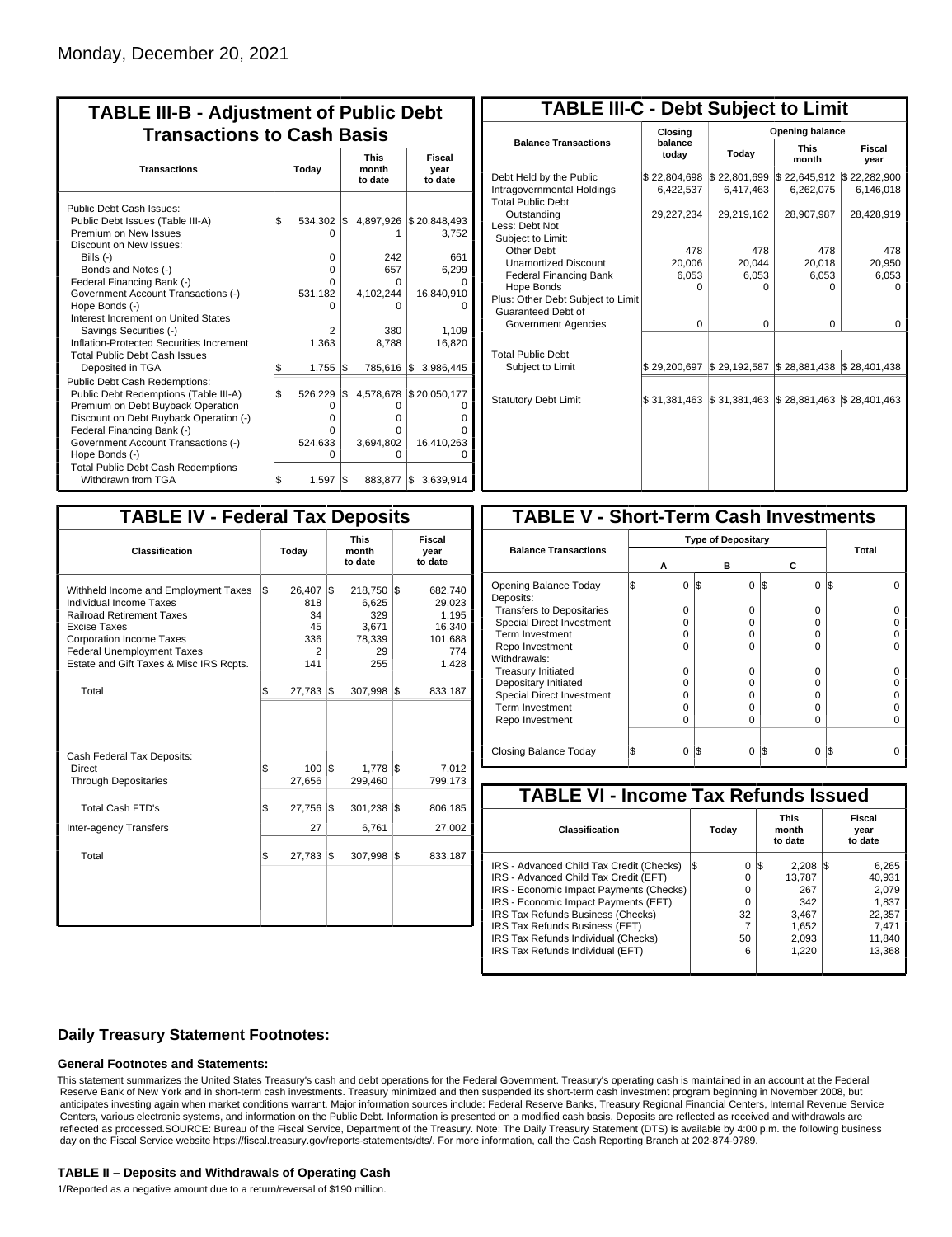| <b>TABLE III-B - Adjustment of Public Debt</b><br><b>Transactions to Cash Basis</b>                                                                                                                                                                                                                                                                          |          |                                                                |            |                                                                |                                                                        |                                 |                           |  |  |
|--------------------------------------------------------------------------------------------------------------------------------------------------------------------------------------------------------------------------------------------------------------------------------------------------------------------------------------------------------------|----------|----------------------------------------------------------------|------------|----------------------------------------------------------------|------------------------------------------------------------------------|---------------------------------|---------------------------|--|--|
| <b>Transactions</b>                                                                                                                                                                                                                                                                                                                                          | Today    |                                                                |            |                                                                |                                                                        | <b>This</b><br>month<br>to date | Fiscal<br>year<br>to date |  |  |
| Public Debt Cash Issues:<br>Public Debt Issues (Table III-A)<br>Premium on New Issues<br>Discount on New Issues:<br>Bills (-)<br>Bonds and Notes (-)<br>Federal Financing Bank (-)<br>Government Account Transactions (-)<br>Hope Bonds (-)<br>Interest Increment on United States<br>Savings Securities (-)<br>Inflation-Protected Securities Increment     | l\$      | 534,302 \$<br>n<br>$\Omega$<br>0<br>n<br>531,182<br>2<br>1,363 |            | 4,897,926<br>242<br>657<br>0<br>4,102,244<br>n<br>380<br>8,788 | \$20,848,493<br>3,752<br>661<br>6.299<br>16,840,910<br>1,109<br>16,820 |                                 |                           |  |  |
| <b>Total Public Debt Cash Issues</b><br>Deposited in TGA<br><b>Public Debt Cash Redemptions:</b><br>Public Debt Redemptions (Table III-A)<br>Premium on Debt Buyback Operation<br>Discount on Debt Buyback Operation (-)<br>Federal Financing Bank (-)<br>Government Account Transactions (-)<br>Hope Bonds (-)<br><b>Total Public Debt Cash Redemptions</b> | \$<br>\$ | 1,755<br>526,229<br>0<br>o<br>n<br>524,633<br>ი                | l\$<br>I\$ | 785,616 \$<br>4,578,678<br>O<br>Ω<br>U<br>3,694,802<br>ი       | 3,986,445<br>\$20,050,177<br>16,410,263                                |                                 |                           |  |  |
| Withdrawn from TGA                                                                                                                                                                                                                                                                                                                                           | \$       | 1,597                                                          | S.         | 883,877                                                        | 3,639,914<br>1\$                                                       |                                 |                           |  |  |

| <b>TABLE III-C - Debt Subject to Limit</b>                                        |                           |                           |                           |                           |  |  |  |  |  |  |
|-----------------------------------------------------------------------------------|---------------------------|---------------------------|---------------------------|---------------------------|--|--|--|--|--|--|
|                                                                                   | Closina                   | Opening balance           |                           |                           |  |  |  |  |  |  |
| <b>Balance Transactions</b>                                                       | balance<br>today          | Today                     | <b>This</b><br>month      | Fiscal<br>year            |  |  |  |  |  |  |
| Debt Held by the Public<br>Intragovernmental Holdings<br><b>Total Public Debt</b> | \$22,804,698<br>6,422,537 | \$22,801,699<br>6,417,463 | \$22,645,912<br>6,262,075 | \$22,282,900<br>6,146,018 |  |  |  |  |  |  |
| Outstanding<br>Less: Debt Not<br>Subject to Limit:                                | 29,227,234                | 29,219,162                | 28,907,987                | 28,428,919                |  |  |  |  |  |  |
| Other Debt                                                                        | 478                       | 478                       | 478                       | 478                       |  |  |  |  |  |  |
| <b>Unamortized Discount</b>                                                       | 20.006                    | 20.044                    | 20,018                    | 20,950                    |  |  |  |  |  |  |
| <b>Federal Financing Bank</b>                                                     | 6,053                     | 6,053                     | 6,053                     | 6,053                     |  |  |  |  |  |  |
| Hope Bonds                                                                        | O                         | O                         | n                         | O                         |  |  |  |  |  |  |
| Plus: Other Debt Subject to Limit<br>Guaranteed Debt of                           |                           |                           |                           |                           |  |  |  |  |  |  |
| Government Agencies                                                               | $\Omega$                  | $\Omega$                  | $\Omega$                  | 0                         |  |  |  |  |  |  |
| <b>Total Public Debt</b><br>Subject to Limit                                      | \$29,200,697              | \$29,192,587              | \$28,881,438              | \$28,401,438              |  |  |  |  |  |  |
|                                                                                   |                           |                           |                           |                           |  |  |  |  |  |  |
| <b>Statutory Debt Limit</b>                                                       | \$31,381,463              | \$31,381,463              | \$28,881,463              | \$28,401,463              |  |  |  |  |  |  |
|                                                                                   |                           |                           |                           |                           |  |  |  |  |  |  |

| <b>TABLE IV - Federal Tax Deposits</b>                                                                                                                                                                                                        |    |                                              |     |                                                         |     |                                                                 |  |  |  |  |
|-----------------------------------------------------------------------------------------------------------------------------------------------------------------------------------------------------------------------------------------------|----|----------------------------------------------|-----|---------------------------------------------------------|-----|-----------------------------------------------------------------|--|--|--|--|
| Classification                                                                                                                                                                                                                                |    | Today                                        |     | <b>This</b><br>month<br>to date                         |     | <b>Fiscal</b><br>year<br>to date                                |  |  |  |  |
| Withheld Income and Employment Taxes<br>Individual Income Taxes<br><b>Railroad Retirement Taxes</b><br><b>Excise Taxes</b><br><b>Corporation Income Taxes</b><br><b>Federal Unemployment Taxes</b><br>Estate and Gift Taxes & Misc IRS Rcpts. | \$ | 26,407<br>818<br>34<br>45<br>336<br>2<br>141 | l\$ | 218,750<br>6,625<br>329<br>3,671<br>78,339<br>29<br>255 | l\$ | 682,740<br>29,023<br>1,195<br>16,340<br>101,688<br>774<br>1,428 |  |  |  |  |
| Total                                                                                                                                                                                                                                         | \$ | 27,783                                       | 1\$ | 307,998                                                 | 1\$ | 833,187                                                         |  |  |  |  |
| Cash Federal Tax Deposits:<br>Direct<br><b>Through Depositaries</b>                                                                                                                                                                           | \$ | $100$ $\sqrt{5}$<br>27,656                   |     | 1,778<br>299,460                                        | l\$ | 7,012<br>799,173                                                |  |  |  |  |
| <b>Total Cash FTD's</b>                                                                                                                                                                                                                       | \$ | 27,756                                       | 1\$ | 301,238                                                 | 1\$ | 806,185                                                         |  |  |  |  |
| <b>Inter-agency Transfers</b>                                                                                                                                                                                                                 |    | 27                                           |     | 6,761                                                   |     | 27,002                                                          |  |  |  |  |
| Total                                                                                                                                                                                                                                         | \$ | 27,783                                       | l\$ | 307,998                                                 | l\$ | 833,187                                                         |  |  |  |  |
|                                                                                                                                                                                                                                               |    |                                              |     |                                                         |     |                                                                 |  |  |  |  |

| <b>TABLE V - Short-Term Cash Investments</b> |  |   |     |                           |    |          |     |       |  |  |
|----------------------------------------------|--|---|-----|---------------------------|----|----------|-----|-------|--|--|
|                                              |  |   |     |                           |    |          |     |       |  |  |
| <b>Balance Transactions</b>                  |  |   |     | <b>Type of Depositary</b> |    |          |     | Total |  |  |
|                                              |  | А |     | в                         |    | С        |     |       |  |  |
| Opening Balance Today<br>Deposits:           |  | 0 | 1\$ | 0                         | \$ | 0        | l\$ |       |  |  |
| <b>Transfers to Depositaries</b>             |  | O |     | n                         |    | 0        |     |       |  |  |
| Special Direct Investment                    |  | Ω |     | Ω                         |    | 0        |     |       |  |  |
| Term Investment                              |  | O |     | Ω                         |    | 0        |     |       |  |  |
| Repo Investment                              |  | ი |     | n                         |    | 0        |     |       |  |  |
| Withdrawals:                                 |  |   |     |                           |    |          |     |       |  |  |
| <b>Treasury Initiated</b>                    |  | O |     | O                         |    | 0        |     |       |  |  |
| Depositary Initiated                         |  | Ω |     | Ω                         |    | $\Omega$ |     |       |  |  |
| <b>Special Direct Investment</b>             |  | Ω |     | Ω                         |    | 0        |     |       |  |  |
| <b>Term Investment</b>                       |  | Ω |     | Ω                         |    | 0        |     |       |  |  |
| Repo Investment                              |  | 0 |     | 0                         |    | 0        |     |       |  |  |
| Closing Balance Today                        |  | 0 | l\$ | 0                         | S  | $\Omega$ | l\$ |       |  |  |
|                                              |  |   |     |                           |    |          |     |       |  |  |

| <b>TABLE VI - Income Tax Refunds Issued</b> |     |       |                                 |        |     |                           |  |  |  |  |  |
|---------------------------------------------|-----|-------|---------------------------------|--------|-----|---------------------------|--|--|--|--|--|
| Classification                              |     | Today | <b>This</b><br>month<br>to date |        |     | Fiscal<br>year<br>to date |  |  |  |  |  |
| IRS - Advanced Child Tax Credit (Checks)    | l\$ | 0     | 1\$                             | 2,208  | 135 | 6,265                     |  |  |  |  |  |
| IRS - Advanced Child Tax Credit (EFT)       |     | 0     |                                 | 13.787 |     | 40.931                    |  |  |  |  |  |
| IRS - Economic Impact Payments (Checks)     |     | 0     |                                 | 267    |     | 2.079                     |  |  |  |  |  |
| IRS - Economic Impact Payments (EFT)        |     | 0     |                                 | 342    |     | 1,837                     |  |  |  |  |  |
| IRS Tax Refunds Business (Checks)           |     | 32    |                                 | 3,467  |     | 22.357                    |  |  |  |  |  |
| IRS Tax Refunds Business (EFT)              |     | 7     |                                 | 1,652  |     | 7.471                     |  |  |  |  |  |
| IRS Tax Refunds Individual (Checks)         |     | 50    |                                 | 2,093  |     | 11,840                    |  |  |  |  |  |
| IRS Tax Refunds Individual (EFT)            |     | 6     |                                 | 1,220  |     | 13,368                    |  |  |  |  |  |

### **Daily Treasury Statement Footnotes:**

#### **General Footnotes and Statements:**

This statement summarizes the United States Treasury's cash and debt operations for the Federal Government. Treasury's operating cash is maintained in an account at the Federal Reserve Bank of New York and in short-term cash investments. Treasury minimized and then suspended its short-term cash investment program beginning in November 2008, but anticipates investing again when market conditions warrant. Major information sources include: Federal Reserve Banks, Treasury Regional Financial Centers, Internal Revenue Service Centers, various electronic systems, and information on the Public Debt. Information is presented on a modified cash basis. Deposits are reflected as received and withdrawals are reflected as processed.SOURCE: Bureau of the Fiscal Service, Department of the Treasury. Note: The Daily Treasury Statement (DTS) is available by 4:00 p.m. the following business day on the Fiscal Service website https://fiscal.treasury.gov/reports-statements/dts/. For more information, call the Cash Reporting Branch at 202-874-9789.

#### **TABLE II – Deposits and Withdrawals of Operating Cash**

1/Reported as a negative amount due to a return/reversal of \$190 million.